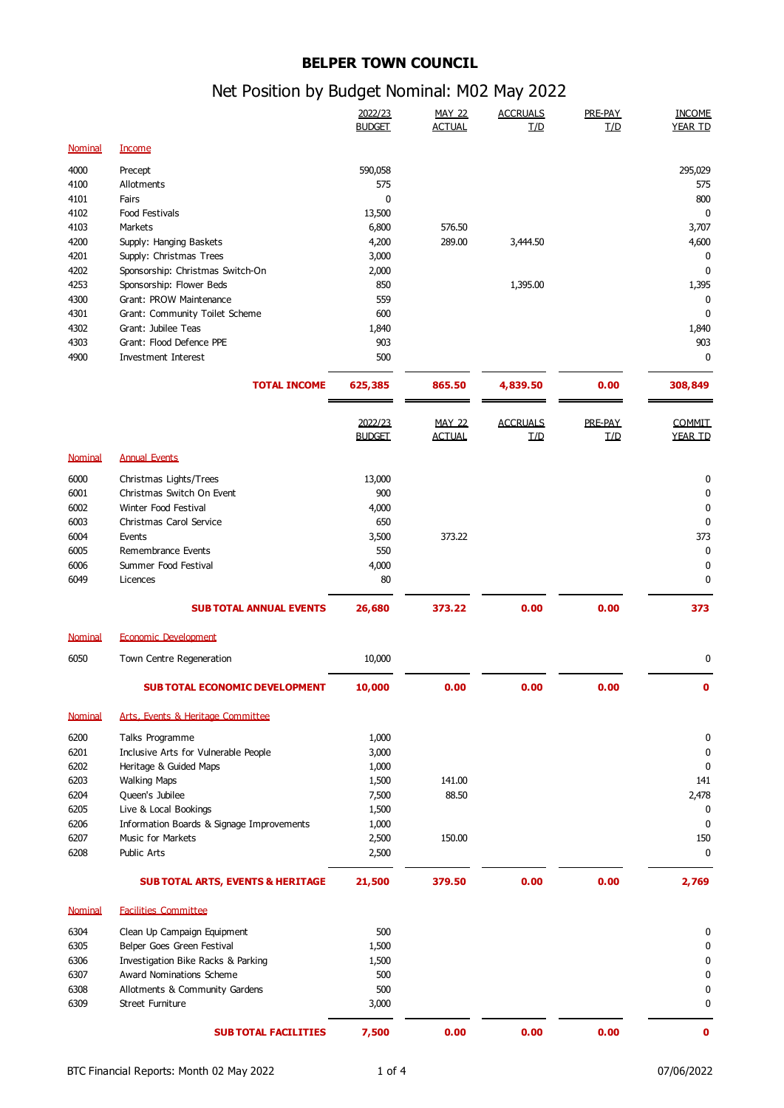## **BELPER TOWN COUNCIL**

## Net Position by Budget Nominal: M02 May 2022

|                |                                                              | 2022/23<br><b>BUDGET</b> | <b>MAY 22</b><br><b>ACTUAL</b> | <b>ACCRUALS</b><br><b>I/D</b> | PRE-PAY<br><b>T/D</b> | <b>INCOME</b><br><b>YEAR TD</b> |
|----------------|--------------------------------------------------------------|--------------------------|--------------------------------|-------------------------------|-----------------------|---------------------------------|
| <b>Nominal</b> | <b>Income</b>                                                |                          |                                |                               |                       |                                 |
| 4000           | Precept                                                      | 590,058                  |                                |                               |                       | 295,029                         |
| 4100           | Allotments                                                   | 575                      |                                |                               |                       | 575                             |
| 4101           | Fairs                                                        | 0                        |                                |                               |                       | 800                             |
| 4102           | Food Festivals                                               | 13,500                   |                                |                               |                       | 0                               |
| 4103           | Markets                                                      | 6,800                    | 576.50                         |                               |                       | 3,707                           |
| 4200           | Supply: Hanging Baskets                                      | 4,200                    | 289.00                         | 3,444.50                      |                       | 4,600                           |
| 4201<br>4202   | Supply: Christmas Trees                                      | 3,000                    |                                |                               |                       | 0<br>$\mathbf 0$                |
| 4253           | Sponsorship: Christmas Switch-On<br>Sponsorship: Flower Beds | 2,000<br>850             |                                | 1,395.00                      |                       | 1,395                           |
| 4300           | Grant: PROW Maintenance                                      | 559                      |                                |                               |                       | 0                               |
| 4301           | Grant: Community Toilet Scheme                               | 600                      |                                |                               |                       | $\mathbf{0}$                    |
| 4302           | Grant: Jubilee Teas                                          | 1,840                    |                                |                               |                       | 1,840                           |
| 4303           | Grant: Flood Defence PPE                                     | 903                      |                                |                               |                       | 903                             |
| 4900           | Investment Interest                                          | 500                      |                                |                               |                       | 0                               |
|                | <b>TOTAL INCOME</b>                                          | 625,385                  | 865.50                         | 4,839.50                      | 0.00                  | 308,849                         |
|                |                                                              | 2022/23                  | <b>MAY 22</b>                  | <b>ACCRUALS</b>               | PRE-PAY               | <b>COMMIT</b>                   |
|                |                                                              | <b>BUDGET</b>            | <b>ACTUAL</b>                  | <b>T/D</b>                    | L/D                   | <b>YEAR TD</b>                  |
| Nominal        | <b>Annual Events</b>                                         |                          |                                |                               |                       |                                 |
| 6000           | Christmas Lights/Trees                                       | 13,000                   |                                |                               |                       | 0                               |
| 6001           | Christmas Switch On Event                                    | 900                      |                                |                               |                       | $\mathbf{0}$                    |
| 6002           | Winter Food Festival                                         | 4,000                    |                                |                               |                       | $\mathbf 0$                     |
| 6003<br>6004   | Christmas Carol Service<br>Events                            | 650<br>3,500             | 373.22                         |                               |                       | $\mathbf 0$<br>373              |
| 6005           | Remembrance Events                                           | 550                      |                                |                               |                       | 0                               |
| 6006           | Summer Food Festival                                         | 4,000                    |                                |                               |                       | $\mathbf 0$                     |
| 6049           | Licences                                                     | 80                       |                                |                               |                       | $\mathbf 0$                     |
|                | <b>SUB TOTAL ANNUAL EVENTS</b>                               | 26,680                   | 373.22                         | 0.00                          | 0.00                  | 373                             |
| <b>Nominal</b> | <b>Economic Development</b>                                  |                          |                                |                               |                       |                                 |
| 6050           | Town Centre Regeneration                                     | 10,000                   |                                |                               |                       | 0                               |
|                | <b>SUB TOTAL ECONOMIC DEVELOPMENT</b>                        | 10,000                   | 0.00                           | 0.00                          | 0.00                  | 0                               |
|                |                                                              |                          |                                |                               |                       |                                 |
| <b>Nominal</b> | <b>Arts, Events &amp; Heritage Committee</b>                 |                          |                                |                               |                       |                                 |
| 6200           | Talks Programme                                              | 1,000                    |                                |                               |                       | 0                               |
| 6201           | Inclusive Arts for Vulnerable People                         | 3,000                    |                                |                               |                       | 0                               |
| 6202<br>6203   | Heritage & Guided Maps<br><b>Walking Maps</b>                | 1,000<br>1,500           | 141.00                         |                               |                       | 0<br>141                        |
| 6204           | Queen's Jubilee                                              | 7,500                    | 88.50                          |                               |                       | 2,478                           |
| 6205           | Live & Local Bookings                                        | 1,500                    |                                |                               |                       | 0                               |
| 6206           | Information Boards & Signage Improvements                    | 1,000                    |                                |                               |                       | $\mathbf{0}$                    |
| 6207           | <b>Music for Markets</b>                                     | 2,500                    | 150.00                         |                               |                       | 150                             |
| 6208           | Public Arts                                                  | 2,500                    |                                |                               |                       | $\mathbf{0}$                    |
|                | <b>SUB TOTAL ARTS, EVENTS &amp; HERITAGE</b>                 | 21,500                   | 379.50                         | 0.00                          | 0.00                  | 2,769                           |
| <b>Nominal</b> | <b>Facilities Committee</b>                                  |                          |                                |                               |                       |                                 |
| 6304           | Clean Up Campaign Equipment                                  | 500                      |                                |                               |                       | 0                               |
| 6305           | Belper Goes Green Festival                                   | 1,500                    |                                |                               |                       | 0                               |
| 6306           | Investigation Bike Racks & Parking                           | 1,500                    |                                |                               |                       | 0                               |
| 6307           | Award Nominations Scheme                                     | 500                      |                                |                               |                       | 0                               |
| 6308           | Allotments & Community Gardens                               | 500                      |                                |                               |                       | $\mathbf 0$                     |
| 6309           | Street Furniture                                             | 3,000                    |                                |                               |                       | 0                               |
|                | <b>SUB TOTAL FACILITIES</b>                                  | 7,500                    | 0.00                           | 0.00                          | 0.00                  | 0                               |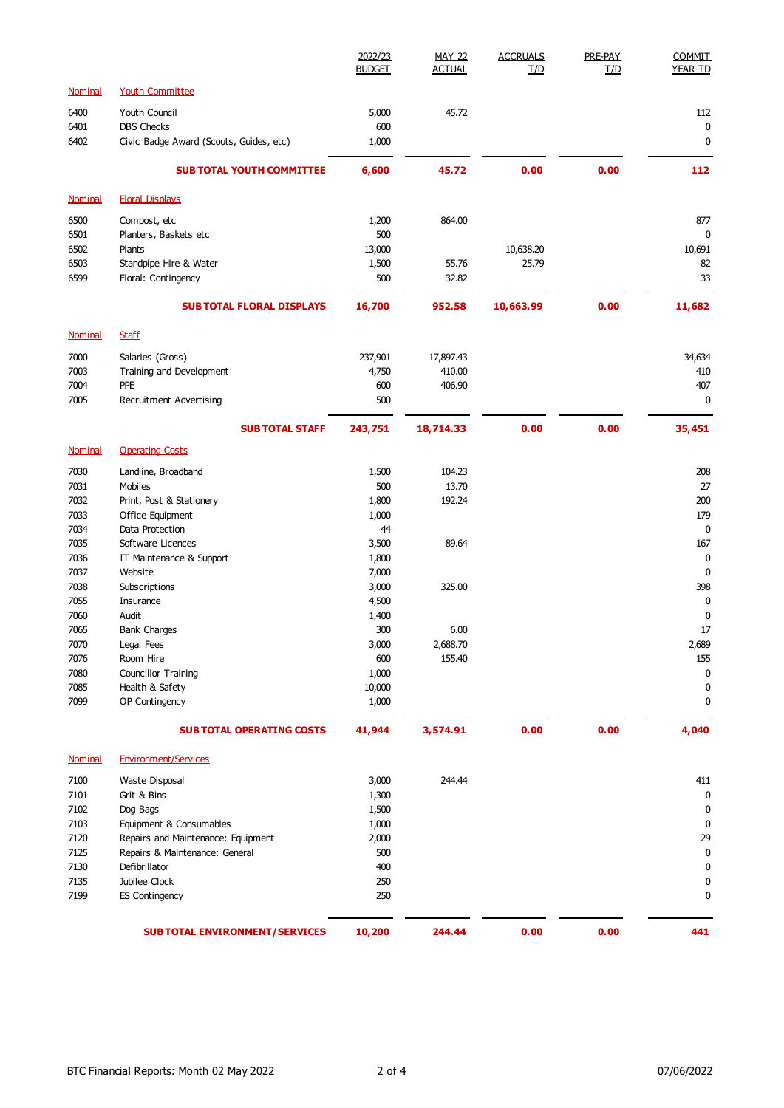|                |                                         | 2022/23<br><b>BUDGET</b> | <b>MAY 22</b><br><b>ACTUAL</b> | <b>ACCRUALS</b><br><b>T/D</b> | PRE-PAY<br>T/D | COMMIT<br>YEAR TD |
|----------------|-----------------------------------------|--------------------------|--------------------------------|-------------------------------|----------------|-------------------|
| <b>Nominal</b> | <b>Youth Committee</b>                  |                          |                                |                               |                |                   |
| 6400           | Youth Council                           | 5,000                    | 45.72                          |                               |                | 112               |
| 6401           | <b>DBS Checks</b>                       | 600                      |                                |                               |                | 0                 |
| 6402           | Civic Badge Award (Scouts, Guides, etc) | 1,000                    |                                |                               |                | $\mathbf 0$       |
|                | <b>SUB TOTAL YOUTH COMMITTEE</b>        | 6,600                    | 45.72                          | 0.00                          | 0.00           | 112               |
| Nominal        | <b>Floral Displays</b>                  |                          |                                |                               |                |                   |
| 6500           | Compost, etc                            | 1,200                    | 864.00                         |                               |                | 877               |
| 6501           | Planters, Baskets etc                   | 500                      |                                |                               |                | 0                 |
| 6502           | Plants                                  | 13,000                   |                                | 10,638.20                     |                | 10,691            |
| 6503           | Standpipe Hire & Water                  | 1,500                    | 55.76                          | 25.79                         |                | 82                |
| 6599           | Floral: Contingency                     | 500                      | 32.82                          |                               |                | 33                |
|                | <b>SUB TOTAL FLORAL DISPLAYS</b>        | 16,700                   | 952.58                         | 10,663.99                     | 0.00           | 11,682            |
| Nominal        | <b>Staff</b>                            |                          |                                |                               |                |                   |
| 7000           | Salaries (Gross)                        | 237,901                  | 17,897.43                      |                               |                | 34,634            |
| 7003           | Training and Development                | 4,750                    | 410.00                         |                               |                | 410               |
| 7004           | PPE                                     | 600                      | 406.90                         |                               |                | 407               |
| 7005           | Recruitment Advertising                 | 500                      |                                |                               |                | $\mathbf 0$       |
|                | <b>SUB TOTAL STAFF</b>                  | 243,751                  | 18,714.33                      | 0.00                          | 0.00           | 35,451            |
| Nominal        | <b>Operating Costs</b>                  |                          |                                |                               |                |                   |
| 7030           | Landline, Broadband                     | 1,500                    | 104.23                         |                               |                | 208               |
| 7031           | Mobiles                                 | 500                      | 13.70                          |                               |                | 27                |
| 7032           | Print, Post & Stationery                | 1,800                    | 192.24                         |                               |                | 200               |
| 7033           | Office Equipment                        | 1,000                    |                                |                               |                | 179               |
| 7034           | Data Protection                         | 44                       |                                |                               |                | $\mathbf 0$       |
| 7035<br>7036   | Software Licences                       | 3,500                    | 89.64                          |                               |                | 167<br>0          |
| 7037           | IT Maintenance & Support<br>Website     | 1,800<br>7,000           |                                |                               |                | $\mathbf 0$       |
| 7038           | Subscriptions                           | 3,000                    | 325.00                         |                               |                | 398               |
| 7055           | Insurance                               | 4,500                    |                                |                               |                | 0                 |
| 7060           | Audit                                   | 1,400                    |                                |                               |                | $\mathbf 0$       |
| 7065           | <b>Bank Charges</b>                     | 300                      | 6.00                           |                               |                | 17                |
| 7070           | Legal Fees                              | 3,000                    | 2,688.70                       |                               |                | 2,689             |
| 7076           | Room Hire                               | 600                      | 155.40                         |                               |                | 155               |
| 7080           | Councillor Training                     | 1,000                    |                                |                               |                | 0                 |
| 7085           | Health & Safety                         | 10,000                   |                                |                               |                | 0                 |
| 7099           | OP Contingency                          | 1,000                    |                                |                               |                | 0                 |
|                | <b>SUB TOTAL OPERATING COSTS</b>        | 41,944                   | 3,574.91                       | 0.00                          | 0.00           | 4,040             |
| <b>Nominal</b> | <b>Environment/Services</b>             |                          |                                |                               |                |                   |
| 7100           | Waste Disposal                          | 3,000                    | 244.44                         |                               |                | 411               |
| 7101           | Grit & Bins                             | 1,300                    |                                |                               |                | 0                 |
| 7102           | Dog Bags                                | 1,500                    |                                |                               |                | 0                 |
| 7103           | Equipment & Consumables                 | 1,000                    |                                |                               |                | $\mathbf 0$       |
| 7120           | Repairs and Maintenance: Equipment      | 2,000                    |                                |                               |                | 29                |
| 7125           | Repairs & Maintenance: General          | 500                      |                                |                               |                | 0                 |
| 7130           | Defibrillator                           | 400                      |                                |                               |                | $\mathbf 0$       |
| 7135           | Jubilee Clock                           | 250                      |                                |                               |                | $\mathbf 0$       |
| 7199           | <b>ES Contingency</b>                   | 250                      |                                |                               |                | $\pmb{0}$         |
|                | <b>SUB TOTAL ENVIRONMENT/SERVICES</b>   | 10,200                   | 244.44                         | 0.00                          | 0.00           | 441               |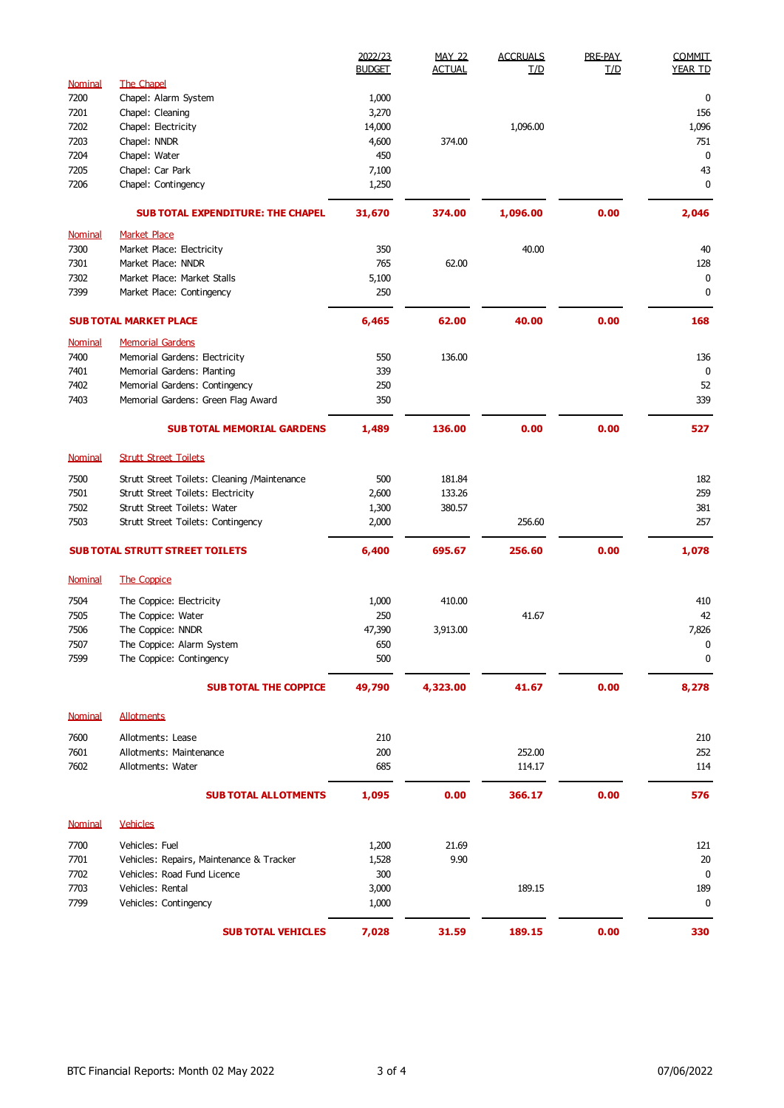|                |                                              | 2022/23<br><b>BUDGET</b> | <b>MAY 22</b><br><b>ACTUAL</b> | <b>ACCRUALS</b><br>L/D | PRE-PAY<br>T/D       | <b>COMMIT</b><br><b>YEAR TD</b> |
|----------------|----------------------------------------------|--------------------------|--------------------------------|------------------------|----------------------|---------------------------------|
| Nominal        | The Chapel                                   |                          |                                |                        |                      |                                 |
| 7200           | Chapel: Alarm System                         | 1,000                    |                                |                        |                      | 0                               |
| 7201           | Chapel: Cleaning                             | 3,270                    |                                |                        |                      | 156                             |
| 7202           | Chapel: Electricity                          | 14,000                   |                                | 1,096.00               |                      | 1,096                           |
| 7203           | Chapel: NNDR                                 | 4,600                    | 374.00                         |                        |                      | 751                             |
| 7204           | Chapel: Water                                | 450                      |                                |                        |                      | $\mathbf 0$                     |
| 7205           | Chapel: Car Park                             | 7,100                    |                                |                        |                      | 43                              |
| 7206           | Chapel: Contingency                          | 1,250                    |                                |                        |                      | $\mathbf 0$                     |
|                | <b>SUB TOTAL EXPENDITURE: THE CHAPEL</b>     | 31,670                   | 374.00                         | 1,096.00               | 0.00                 | 2,046                           |
| <b>Nominal</b> | <b>Market Place</b>                          |                          |                                |                        |                      |                                 |
| 7300           | Market Place: Electricity                    | 350                      |                                | 40.00                  |                      | 40                              |
| 7301           | Market Place: NNDR                           | 765                      | 62.00                          |                        |                      | 128                             |
| 7302           | Market Place: Market Stalls                  | 5,100                    |                                |                        |                      | $\mathbf 0$                     |
| 7399           | Market Place: Contingency                    | 250                      |                                |                        |                      | 0                               |
|                | <b>SUB TOTAL MARKET PLACE</b>                | 6,465                    | 62.00                          | 40.00                  | 0.00                 | 168                             |
| Nominal        | <b>Memorial Gardens</b>                      |                          |                                |                        |                      |                                 |
| 7400           | Memorial Gardens: Electricity                | 550                      | 136.00                         |                        |                      | 136                             |
| 7401           | Memorial Gardens: Planting                   | 339                      |                                |                        |                      | 0                               |
| 7402           | Memorial Gardens: Contingency                | 250                      |                                |                        |                      | 52                              |
| 7403           | Memorial Gardens: Green Flag Award           | 350                      |                                |                        |                      | 339                             |
|                | <b>SUB TOTAL MEMORIAL GARDENS</b>            | 1,489                    | 136.00                         | 0.00                   | 0.00                 | 527                             |
| Nominal        | <b>Strutt Street Toilets</b>                 |                          |                                |                        |                      |                                 |
| 7500           | Strutt Street Toilets: Cleaning /Maintenance | 500                      | 181.84                         |                        |                      | 182                             |
| 7501           | Strutt Street Toilets: Electricity           | 2,600                    | 133.26                         |                        |                      | 259                             |
| 7502           | Strutt Street Toilets: Water                 | 1,300                    | 380.57                         |                        |                      | 381                             |
| 7503           | Strutt Street Toilets: Contingency           | 2,000                    |                                | 256.60                 |                      | 257                             |
|                | <b>SUB TOTAL STRUTT STREET TOILETS</b>       | 6,400                    | 695.67                         | 256.60                 | 0.00                 | 1,078                           |
| <b>Nominal</b> | <b>The Coppice</b>                           |                          |                                |                        |                      |                                 |
| 7504           | The Coppice: Electricity                     | 1,000                    | 410.00                         |                        |                      | 410                             |
| 7505           | The Coppice: Water                           | 250                      |                                | 41.67                  |                      | 42                              |
| 7506           | The Coppice: NNDR                            | 47,390                   | 3,913.00                       |                        |                      | 7,826                           |
| 7507           | The Coppice: Alarm System                    | 650                      |                                |                        |                      | 0                               |
| 7599           | The Coppice: Contingency                     | 500                      |                                |                        | 0.00<br>0.00<br>0.00 | 0                               |
|                | <b>SUB TOTAL THE COPPICE</b>                 | 49,790                   | 4,323.00                       | 41.67                  |                      | 8,278                           |
| <b>Nominal</b> | <b>Allotments</b>                            |                          |                                |                        |                      |                                 |
| 7600           | Allotments: Lease                            | 210                      |                                |                        |                      | 210                             |
| 7601           | Allotments: Maintenance                      | 200                      |                                | 252.00                 |                      | 252                             |
| 7602           | Allotments: Water                            | 685                      |                                | 114.17                 |                      | 114                             |
|                |                                              |                          |                                |                        |                      |                                 |
|                | <b>SUB TOTAL ALLOTMENTS</b>                  | 1,095                    | 0.00                           | 366.17                 |                      | 576                             |
| Nominal        | <b>Vehicles</b>                              |                          |                                |                        |                      |                                 |
| 7700           | Vehicles: Fuel                               | 1,200                    | 21.69                          |                        |                      | 121                             |
| 7701           | Vehicles: Repairs, Maintenance & Tracker     | 1,528                    | 9.90                           |                        |                      | 20                              |
| 7702           | Vehicles: Road Fund Licence                  | 300                      |                                |                        |                      | $\mathbf 0$                     |
| 7703           | Vehicles: Rental                             | 3,000                    |                                | 189.15                 |                      | 189                             |
| 7799           | Vehicles: Contingency                        | 1,000                    |                                |                        |                      | $\mathbf 0$                     |
|                | <b>SUB TOTAL VEHICLES</b>                    | 7,028                    | 31.59                          | 189.15                 |                      | 330                             |